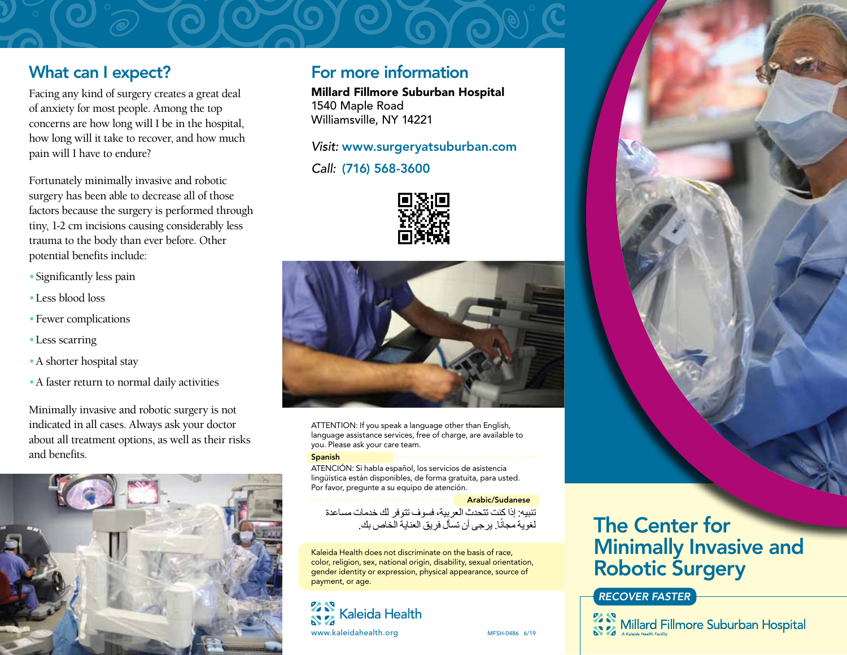### What can I expect?

Facing any kind of surgery creates a great deal of anxiety for most people. Among the top concerns are how long will I be in the hospital, how long will it take to recover, and how much pain will I have to endure?

Fortunately minimally invasive and robotic surgery has been able to decrease all of those factors because the surgery is performed through tiny, 1-2 cm incisions causing considerably less trauma to the body than ever before. Other potential benefits include:

- •Significantly less pain
- •Less blood loss
- •Fewer complications
- •Less scarring
- •A shorter hospital stay
- •A faster return to normal daily activities

Minimally invasive and robotic surgery is not indicated in all cases. Always ask your doctor about all treatment options, as well as their risks and benefits.



### For more information

Millard Fillmore Suburban Hospital 1540 Maple Road Williamsville, NY 14221

*Visit:* www.surgeryatsuburban.com

*Call:* (716) 568-3600





ATTENTION: If you speak a language other than English, language assistance services, free of charge, are available to you. Please ask your care team.

Spanish ATENCIÓN: Si habla español, los servicios de asistencia lingüística están disponibles, de forma gratuita, para usted. Por favor, pregunte a su equipo de atención.

Arabic/Sudanese تنبيه: إذا كنت تتحدث العربية، فسوف تتوفر لك خدمات مساعدة لغوية مجانًا. يرجى أن تسأل فريق العناية الخاص بك.

Kaleida Health does not discriminate on the basis of race, color, religion, sex, national origin, disability, sexual orientation, gender identity or expression, physical appearance, source of payment, or age.

### **22 S** Kaleida Health www.kaleidahealth.org MFSH-0486 6/19

# The Center for Minimally Invasive and Robotic Surgery

#### *RECOVER FASTER*